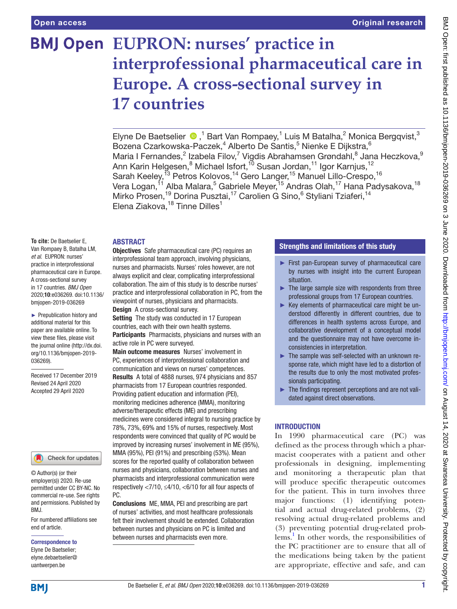# **BMJ Open EUPRON: nurses' practice in interprofessional pharmaceutical care in Europe. A cross-sectional survey in 17 countries**

ElyneDe Baetselier  $\bigcirc$ ,<sup>1</sup> Bart Van Rompaey,<sup>1</sup> Luis M Batalha,<sup>2</sup> Monica Bergqvist,<sup>3</sup> Bozena Czarkowska-Paczek,<sup>4</sup> Alberto De Santis,<sup>5</sup> Nienke E Dijkstra,<sup>6</sup> Maria I Fernandes,<sup>2</sup> Izabela Filov,<sup>7</sup> Vigdis Abrahamsen Grøndahl,<sup>8</sup> Jana Heczkova,<sup>9</sup> Ann Karin Helgesen, $^8$  Michael Isfort, $^{10}$  Susan Jordan, $^{11}$  Igor Karnjus, $^{12}$ Sarah Keeley,<sup>13</sup> Petros Kolovos,<sup>14</sup> Gero Langer,<sup>15</sup> Manuel Lillo-Crespo,<sup>16</sup> Vera Logan,<sup>11</sup> Alba Malara,<sup>5</sup> Gabriele Meyer,<sup>15</sup> Andras Olah,<sup>17</sup> Hana Padysakova,<sup>18</sup> Mirko Prosen,<sup>19</sup> Dorina Pusztai,<sup>17</sup> Carolien G Sino,<sup>6</sup> Styliani Tziaferi,<sup>14</sup> Elena Ziakova, $18$  Tinne Dilles $1$ 

## **ABSTRACT**

**To cite:** De Baetselier E, Van Rompaey B, Batalha LM, *et al*. EUPRON: nurses' practice in interprofessional pharmaceutical care in Europe. A cross-sectional survey in 17 countries. *BMJ Open* 2020;10:e036269. doi:10.1136/ bmjopen-2019-036269

► Prepublication history and additional material for this paper are available online. To view these files, please visit the journal online (http://dx.doi. org/10.1136/bmjopen-2019- 036269).

Received 17 December 2019 Revised 24 April 2020 Accepted 29 April 2020

#### Check for updates

© Author(s) (or their employer(s)) 2020. Re-use permitted under CC BY-NC. No commercial re-use. See rights and permissions. Published by BMJ.

For numbered affiliations see end of article.

#### Correspondence to

Elyne De Baetselier; elyne.debaetselier@ uantwerpen.be

Objectives Safe pharmaceutical care (PC) requires an interprofessional team approach, involving physicians, nurses and pharmacists. Nurses' roles however, are not always explicit and clear, complicating interprofessional collaboration. The aim of this study is to describe nurses' practice and interprofessional collaboration in PC, from the viewpoint of nurses, physicians and pharmacists. Design A cross-sectional survey.

Setting The study was conducted in 17 European countries, each with their own health systems. **Participants** Pharmacists, physicians and nurses with an active role in PC were surveyed.

Main outcome measures Nurses' involvement in PC, experiences of interprofessional collaboration and communication and views on nurses' competences. Results A total of 4888 nurses, 974 physicians and 857 pharmacists from 17 European countries responded. Providing patient education and information (PEI), monitoring medicines adherence (MMA), monitoring adverse/therapeutic effects (ME) and prescribing medicines were considered integral to nursing practice by 78%, 73%, 69% and 15% of nurses, respectively. Most respondents were convinced that quality of PC would be improved by increasing nurses' involvement in ME (95%), MMA (95%), PEI (91%) and prescribing (53%). Mean scores for the reported quality of collaboration between nurses and physicians, collaboration between nurses and pharmacists and interprofessional communication were respectively <7/10, ≤4/10, <6/10 for all four aspects of PC.

Conclusions ME, MMA, PEI and prescribing are part of nurses' activities, and most healthcare professionals felt their involvement should be extended. Collaboration between nurses and physicians on PC is limited and between nurses and pharmacists even more.

## Strengths and limitations of this study

- ► First pan-European survey of pharmaceutical care by nurses with insight into the current European situation.
- $\blacktriangleright$  The large sample size with respondents from three professional groups from 17 European countries.
- ► Key elements of pharmaceutical care might be understood differently in different countries, due to differences in health systems across Europe, and collaborative development of a conceptual model and the questionnaire may not have overcome inconsistencies in interpretation.
- ► The sample was self-selected with an unknown response rate, which might have led to a distortion of the results due to only the most motivated professionals participating.
- ► The findings represent perceptions and are not validated against direct observations.

## **INTRODUCTION**

In 1990 pharmaceutical care (PC) was defined as the process through which a pharmacist cooperates with a patient and other professionals in designing, implementing and monitoring a therapeutic plan that will produce specific therapeutic outcomes for the patient. This in turn involves three major functions: (1) identifying potential and actual drug-related problems, (2) resolving actual drug-related problems and (3) preventing potential drug-related prob-lems.<sup>[1](#page-10-0)</sup> In other words, the responsibilities of the PC practitioner are to ensure that all of the medications being taken by the patient are appropriate, effective and safe, and can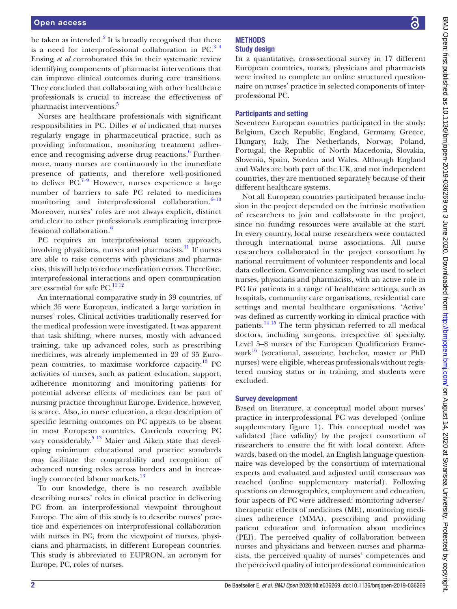be taken as intended.<sup>[2](#page-10-1)</sup> It is broadly recognised that there is a need for interprofessional collaboration in  $PC<sup>3-4</sup>$ Ensing *et al* corroborated this in their systematic review identifying components of pharmacist interventions that can improve clinical outcomes during care transitions. They concluded that collaborating with other healthcare professionals is crucial to increase the effectiveness of pharmacist interventions.<sup>[5](#page-10-3)</sup>

Nurses are healthcare professionals with significant responsibilities in PC. Dilles *et al* indicated that nurses regularly engage in pharmaceutical practice, such as providing information, monitoring treatment adher-ence and recognising adverse drug reactions.<sup>[6](#page-10-4)</sup> Furthermore, many nurses are continuously in the immediate presence of patients, and therefore well-positioned to deliver  $PC^{7-9}$  However, nurses experience a large number of barriers to safe PC related to medicines monitoring and interprofessional collaboration. $6-10$ Moreover, nurses' roles are not always explicit, distinct and clear to other professionals complicating interprofessional collaboration.[6](#page-10-4)

PC requires an interprofessional team approach, involving physicians, nurses and pharmacists. $\frac{11}{11}$  If nurses are able to raise concerns with physicians and pharmacists, this will help to reduce medication errors. Therefore, interprofessional interactions and open communication are essential for safe PC.<sup>[11 12](#page-11-0)</sup>

An international comparative study in 39 countries, of which 35 were European, indicated a large variation in nurses' roles. Clinical activities traditionally reserved for the medical profession were investigated. It was apparent that task shifting, where nurses, mostly with advanced training, take up advanced roles, such as prescribing medicines, was already implemented in 23 of 35 European countries, to maximise workforce capacity.[13](#page-11-1) PC activities of nurses, such as patient education, support, adherence monitoring and monitoring patients for potential adverse effects of medicines can be part of nursing practice throughout Europe. Evidence, however, is scarce. Also, in nurse education, a clear description of specific learning outcomes on PC appears to be absent in most European countries. Curricula covering PC vary considerably.<sup>5 13</sup> Maier and Aiken state that developing minimum educational and practice standards may facilitate the comparability and recognition of advanced nursing roles across borders and in increas-ingly connected labour markets.<sup>[13](#page-11-1)</sup>

To our knowledge, there is no research available describing nurses' roles in clinical practice in delivering PC from an interprofessional viewpoint throughout Europe. The aim of this study is to describe nurses' practice and experiences on interprofessional collaboration with nurses in PC, from the viewpoint of nurses, physicians and pharmacists, in different European countries. This study is abbreviated to EUPRON, an acronym for Europe, PC, roles of nurses.

### **METHODS** Study design

In a quantitative, cross-sectional survey in 17 different European countries, nurses, physicians and pharmacists were invited to complete an online structured questionnaire on nurses' practice in selected components of interprofessional PC.

## Participants and setting

Seventeen European countries participated in the study: Belgium, Czech Republic, England, Germany, Greece, Hungary, Italy, The Netherlands, Norway, Poland, Portugal, the Republic of North Macedonia, Slovakia, Slovenia, Spain, Sweden and Wales. Although England and Wales are both part of the UK, and not independent countries, they are mentioned separately because of their different healthcare systems.

Not all European countries participated because inclusion in the project depended on the intrinsic motivation of researchers to join and collaborate in the project, since no funding resources were available at the start. In every country, local nurse researchers were contacted through international nurse associations. All nurse researchers collaborated in the project consortium by national recruitment of volunteer respondents and local data collection. Convenience sampling was used to select nurses, physicians and pharmacists, with an active role in PC for patients in a range of healthcare settings, such as hospitals, community care organisations, residential care settings and mental healthcare organisations. 'Active' was defined as currently working in clinical practice with patients.[14 15](#page-11-2) The term physician referred to all medical doctors, including surgeons, irrespective of specialty. Level 5–8 nurses of the European Qualification Framework<sup>16</sup> (vocational, associate, bachelor, master or PhD nurses) were eligible, whereas professionals without registered nursing status or in training, and students were excluded.

## Survey development

Based on literature, a conceptual model about nurses' practice in interprofessional PC was developed ([online](https://dx.doi.org/10.1136/bmjopen-2019-036269)  [supplementary figure 1\)](https://dx.doi.org/10.1136/bmjopen-2019-036269). This conceptual model was validated (face validity) by the project consortium of researchers to ensure the fit with local context. Afterwards, based on the model, an English language questionnaire was developed by the consortium of international experts and evaluated and adjusted until consensus was reached ([online supplementary material\)](https://dx.doi.org/10.1136/bmjopen-2019-036269). Following questions on demographics, employment and education, four aspects of PC were addressed: monitoring adverse/ therapeutic effects of medicines (ME), monitoring medicines adherence (MMA), prescribing and providing patient education and information about medicines (PEI). The perceived quality of collaboration between nurses and physicians and between nurses and pharmacists, the perceived quality of nurses' competences and the perceived quality of interprofessional communication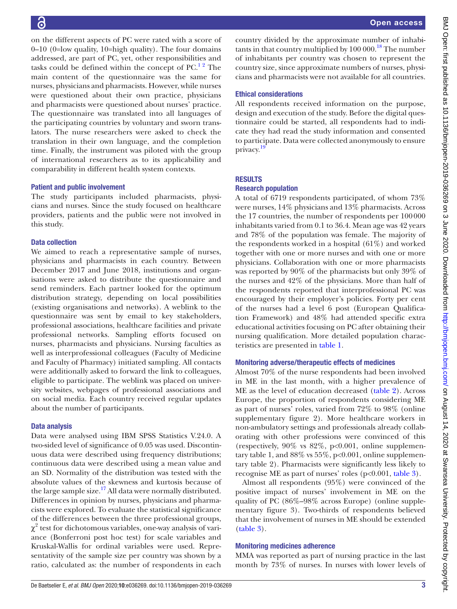country divided by the approximate number of inhabitants in that country multiplied by  $100\,000$ .<sup>18</sup> The number of inhabitants per country was chosen to represent the country size, since approximate numbers of nurses, physicians and pharmacists were not available for all countries. Ethical considerations All respondents received information on the purpose, design and execution of the study. Before the digital questionnaire could be started, all respondents had to indicate they had read the study information and consented to participate. Data were collected anonymously to ensure privacy.<sup>[19](#page-11-6)</sup> **RESULTS** Research population A total of 6719 respondents participated, of whom 73% were nurses, 14% physicians and 13% pharmacists. Across the 17 countries, the number of respondents per 100000 inhabitants varied from 0.1 to 36.4. Mean age was 42 years and 78% of the population was female. The majority of the respondents worked in a hospital (61%) and worked together with one or more nurses and with one or more physicians. Collaboration with one or more pharmacists was reported by 90% of the pharmacists but only 39% of the nurses and 42% of the physicians. More than half of the respondents reported that interprofessional PC was encouraged by their employer's policies. Forty per cent of the nurses had a level 6 post (European Qualification Framework) and 48% had attended specific extra educational activities focusing on PC after obtaining their nursing qualification. More detailed population charac-

# Monitoring adverse/therapeutic effects of medicines

teristics are presented in [table](#page-3-0) 1.

Almost 70% of the nurse respondents had been involved in ME in the last month, with a higher prevalence of ME as the level of education decreased ([table](#page-6-0) 2). Across Europe, the proportion of respondents considering ME as part of nurses' roles, varied from 72% to 98% ([online](https://dx.doi.org/10.1136/bmjopen-2019-036269)  [supplementary figure 2\)](https://dx.doi.org/10.1136/bmjopen-2019-036269). More healthcare workers in non-ambulatory settings and professionals already collaborating with other professions were convinced of this (respectively,  $90\%$  vs  $82\%$ ,  $p<0.001$ , [online supplemen](https://dx.doi.org/10.1136/bmjopen-2019-036269)[tary table 1](https://dx.doi.org/10.1136/bmjopen-2019-036269), and 88% vs 55%, p<0.001, [online supplemen](https://dx.doi.org/10.1136/bmjopen-2019-036269)[tary table 2\)](https://dx.doi.org/10.1136/bmjopen-2019-036269). Pharmacists were significantly less likely to recognise ME as part of nurses' roles (p<0.001, [table](#page-7-0) 3).

Almost all respondents (95%) were convinced of the positive impact of nurses' involvement in ME on the quality of PC (86%–98% across Europe) [\(online supple](https://dx.doi.org/10.1136/bmjopen-2019-036269)[mentary figure 3\)](https://dx.doi.org/10.1136/bmjopen-2019-036269). Two-thirds of respondents believed that the involvement of nurses in ME should be extended [\(table](#page-7-0) 3).

## Monitoring medicines adherence

MMA was reported as part of nursing practice in the last month by 73% of nurses. In nurses with lower levels of

on the different aspects of PC were rated with a score of 0–10 (0=low quality, 10=high quality). The four domains addressed, are part of PC, yet, other responsibilities and tasks could be defined within the concept of  $PC<sup>12</sup>$ . The main content of the questionnaire was the same for nurses, physicians and pharmacists. However, while nurses were questioned about their own practice, physicians and pharmacists were questioned about nurses' practice. The questionnaire was translated into all languages of the participating countries by voluntary and sworn translators. The nurse researchers were asked to check the translation in their own language, and the completion time. Finally, the instrument was piloted with the group of international researchers as to its applicability and comparability in different health system contexts.

## Patient and public involvement

The study participants included pharmacists, physicians and nurses. Since the study focused on healthcare providers, patients and the public were not involved in this study.

# Data collection

We aimed to reach a representative sample of nurses, physicians and pharmacists in each country. Between December 2017 and June 2018, institutions and organisations were asked to distribute the questionnaire and send reminders. Each partner looked for the optimum distribution strategy, depending on local possibilities (existing organisations and networks). A weblink to the questionnaire was sent by email to key stakeholders, professional associations, healthcare facilities and private professional networks. Sampling efforts focused on nurses, pharmacists and physicians. Nursing faculties as well as interprofessional colleagues (Faculty of Medicine and Faculty of Pharmacy) initiated sampling. All contacts were additionally asked to forward the link to colleagues, eligible to participate. The weblink was placed on university websites, webpages of professional associations and on social media. Each country received regular updates about the number of participants.

# Data analysis

Data were analysed using IBM SPSS Statistics V.24.0. A two-sided level of significance of 0.05 was used. Discontinuous data were described using frequency distributions; continuous data were described using a mean value and an SD. Normality of the distribution was tested with the absolute values of the skewness and kurtosis because of the large sample size.<sup>17</sup> All data were normally distributed. Differences in opinion by nurses, physicians and pharmacists were explored. To evaluate the statistical significance of the differences between the three professional groups,  $\chi^2$  test for dichotomous variables, one-way analysis of variance (Bonferroni post hoc test) for scale variables and Kruskal-Wallis for ordinal variables were used. Representativity of the sample size per country was shown by a ratio, calculated as: the number of respondents in each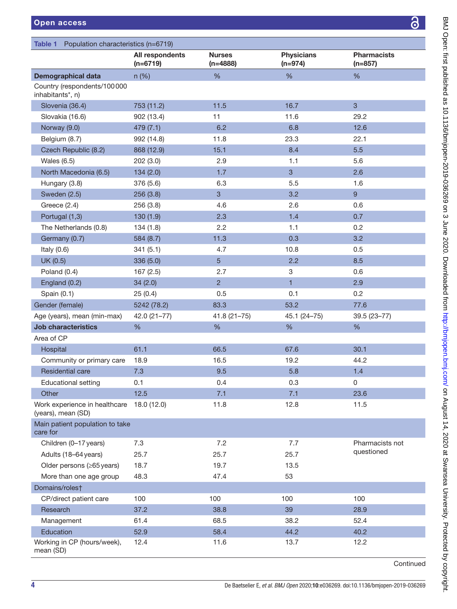<span id="page-3-0"></span>

| Population characteristics (n=6719)<br><b>Table 1</b> |                               |                             |                                |                                 |  |
|-------------------------------------------------------|-------------------------------|-----------------------------|--------------------------------|---------------------------------|--|
|                                                       | All respondents<br>$(n=6719)$ | <b>Nurses</b><br>$(n=4888)$ | <b>Physicians</b><br>$(n=974)$ | <b>Pharmacists</b><br>$(n=857)$ |  |
| <b>Demographical data</b>                             | $n$ (%)                       | %                           | %                              | %                               |  |
| Country (respondents/100000<br>inhabitants*, n)       |                               |                             |                                |                                 |  |
| Slovenia (36.4)                                       | 753 (11.2)                    | 11.5                        | 16.7                           | 3                               |  |
| Slovakia (16.6)                                       | 902 (13.4)                    | 11                          | 11.6                           | 29.2                            |  |
| Norway (9.0)                                          | 479 (7.1)                     | 6.2                         | 6.8                            | 12.6                            |  |
| Belgium (8.7)                                         | 992 (14.8)                    | 11.8                        | 23.3                           | 22.1                            |  |
| Czech Republic (8.2)                                  | 868 (12.9)                    | 15.1                        | 8.4                            | 5.5                             |  |
| Wales $(6.5)$                                         | 202 (3.0)                     | 2.9                         | 1.1                            | 5.6                             |  |
| North Macedonia (6.5)                                 | 134(2.0)                      | 1.7                         | 3                              | 2.6                             |  |
| Hungary (3.8)                                         | 376 (5.6)                     | 6.3                         | 5.5                            | 1.6                             |  |
| Sweden (2.5)                                          | 256 (3.8)                     | $\overline{3}$              | 3.2                            | $\overline{9}$                  |  |
| Greece $(2.4)$                                        | 256 (3.8)                     | 4.6                         | 2.6                            | 0.6                             |  |
| Portugal (1,3)                                        | 130(1.9)                      | 2.3                         | 1.4                            | 0.7                             |  |
| The Netherlands (0.8)                                 | 134(1.8)                      | 2.2                         | 1.1                            | 0.2                             |  |
| Germany (0.7)                                         | 584 (8.7)                     | 11.3                        | 0.3                            | 3.2                             |  |
| Italy $(0.6)$                                         | 341(5.1)                      | 4.7                         | 10.8                           | 0.5                             |  |
| UK (0.5)                                              | 336 (5.0)                     | 5                           | 2.2                            | 8.5                             |  |
| Poland (0.4)                                          | 167(2.5)                      | 2.7                         | 3                              | 0.6                             |  |
| England (0.2)                                         | 34(2.0)                       | $\overline{2}$              | $\mathbf{1}$                   | 2.9                             |  |
| Spain (0.1)                                           | 25(0.4)                       | 0.5                         | 0.1                            | 0.2                             |  |
| Gender (female)                                       | 5242 (78.2)                   | 83.3                        | 53.2                           | 77.6                            |  |
| Age (years), mean (min-max)                           | $42.0(21-77)$                 | $41.8(21 - 75)$             | 45.1 (24-75)                   | 39.5 (23-77)                    |  |
| <b>Job characteristics</b>                            | %                             | %                           | %                              | $\%$                            |  |
| Area of CP                                            |                               |                             |                                |                                 |  |
| Hospital                                              | 61.1                          | 66.5                        | 67.6                           | 30.1                            |  |
| Community or primary care                             | 18.9                          | 16.5                        | 19.2                           | 44.2                            |  |
| <b>Residential care</b>                               | 7.3                           | 9.5                         | 5.8                            | 1.4                             |  |
| <b>Educational setting</b>                            | 0.1                           | 0.4                         | 0.3                            | 0                               |  |
| Other                                                 | 12.5                          | 7.1                         | 7.1                            | 23.6                            |  |
| Work experience in healthcare<br>(years), mean (SD)   | 18.0 (12.0)                   | 11.8                        | 12.8                           | 11.5                            |  |
| Main patient population to take<br>care for           |                               |                             |                                |                                 |  |
| Children (0-17 years)                                 | 7.3                           | 7.2                         | 7.7                            | Pharmacists not                 |  |
| Adults (18-64 years)                                  | 25.7                          | 25.7                        | 25.7                           | questioned                      |  |
| Older persons (≥65 years)                             | 18.7                          | 19.7                        | 13.5                           |                                 |  |
| More than one age group                               | 48.3                          | 47.4                        | 53                             |                                 |  |
| Domains/roles†                                        |                               |                             |                                |                                 |  |
| CP/direct patient care                                | 100                           | 100                         | 100                            | 100                             |  |
| Research                                              | 37.2                          | 38.8                        | 39                             | 28.9                            |  |
| Management                                            | 61.4                          | 68.5                        | 38.2                           | 52.4                            |  |
| Education                                             | 52.9                          | 58.4                        | 44.2                           | 40.2                            |  |
| Working in CP (hours/week),<br>mean (SD)              | 12.4                          | 11.6                        | 13.7                           | 12.2                            |  |

Continued

 $\overline{\partial}$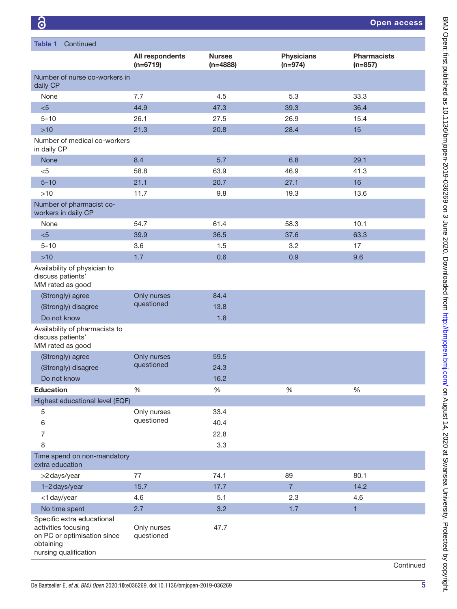| Continued<br>Table 1                                                                                                   |                               |                             |                                |                                 |  |  |
|------------------------------------------------------------------------------------------------------------------------|-------------------------------|-----------------------------|--------------------------------|---------------------------------|--|--|
|                                                                                                                        | All respondents<br>$(n=6719)$ | <b>Nurses</b><br>$(n=4888)$ | <b>Physicians</b><br>$(n=974)$ | <b>Pharmacists</b><br>$(n=857)$ |  |  |
| Number of nurse co-workers in<br>daily CP                                                                              |                               |                             |                                |                                 |  |  |
| None                                                                                                                   | 7.7                           | 4.5                         | 5.3                            | 33.3                            |  |  |
| < 5                                                                                                                    | 44.9                          | 47.3                        | 39.3                           | 36.4                            |  |  |
| $5 - 10$                                                                                                               | 26.1                          | 27.5                        | 26.9                           | 15.4                            |  |  |
| $>10$                                                                                                                  | 21.3                          | 20.8                        | 28.4                           | 15                              |  |  |
| Number of medical co-workers<br>in daily CP                                                                            |                               |                             |                                |                                 |  |  |
| None                                                                                                                   | 8.4                           | 5.7                         | 6.8                            | 29.1                            |  |  |
| < 5                                                                                                                    | 58.8                          | 63.9                        | 46.9                           | 41.3                            |  |  |
| $5 - 10$                                                                                                               | 21.1                          | 20.7                        | 27.1                           | 16                              |  |  |
| $>10$                                                                                                                  | 11.7                          | 9.8                         | 19.3                           | 13.6                            |  |  |
| Number of pharmacist co-<br>workers in daily CP                                                                        |                               |                             |                                |                                 |  |  |
| None                                                                                                                   | 54.7                          | 61.4                        | 58.3                           | 10.1                            |  |  |
| < 5                                                                                                                    | 39.9                          | 36.5                        | 37.6                           | 63.3                            |  |  |
| $5 - 10$                                                                                                               | 3.6                           | 1.5                         | 3.2                            | 17                              |  |  |
| $>10$                                                                                                                  | 1.7                           | 0.6                         | 0.9                            | 9.6                             |  |  |
| Availability of physician to<br>discuss patients'<br>MM rated as good                                                  |                               |                             |                                |                                 |  |  |
| (Strongly) agree                                                                                                       | Only nurses                   | 84.4                        |                                |                                 |  |  |
| (Strongly) disagree                                                                                                    | questioned                    | 13.8                        |                                |                                 |  |  |
| Do not know                                                                                                            |                               | 1.8                         |                                |                                 |  |  |
| Availability of pharmacists to<br>discuss patients'<br>MM rated as good                                                |                               |                             |                                |                                 |  |  |
| (Strongly) agree                                                                                                       | Only nurses                   | 59.5                        |                                |                                 |  |  |
| (Strongly) disagree                                                                                                    | questioned                    | 24.3                        |                                |                                 |  |  |
| Do not know                                                                                                            |                               | 16.2                        |                                |                                 |  |  |
| <b>Education</b>                                                                                                       | %                             | $\%$                        | $\%$                           | $\%$                            |  |  |
| Highest educational level (EQF)                                                                                        |                               |                             |                                |                                 |  |  |
| 5                                                                                                                      | Only nurses                   | 33.4                        |                                |                                 |  |  |
| 6                                                                                                                      | questioned                    | 40.4                        |                                |                                 |  |  |
| 7                                                                                                                      |                               | 22.8                        |                                |                                 |  |  |
| 8                                                                                                                      |                               | 3.3                         |                                |                                 |  |  |
| Time spend on non-mandatory<br>extra education                                                                         |                               |                             |                                |                                 |  |  |
| >2 days/year                                                                                                           | 77                            | 74.1                        | 89                             | 80.1                            |  |  |
| 1-2 days/year                                                                                                          | 15.7                          | 17.7                        | $\overline{7}$                 | 14.2                            |  |  |
| <1 day/year                                                                                                            | 4.6                           | 5.1                         | 2.3                            | 4.6                             |  |  |
| No time spent                                                                                                          | 2.7                           | 3.2                         | 1.7                            | $\mathbf{1}$                    |  |  |
| Specific extra educational<br>activities focusing<br>on PC or optimisation since<br>obtaining<br>nursing qualification | Only nurses<br>questioned     | 47.7                        |                                |                                 |  |  |

Continued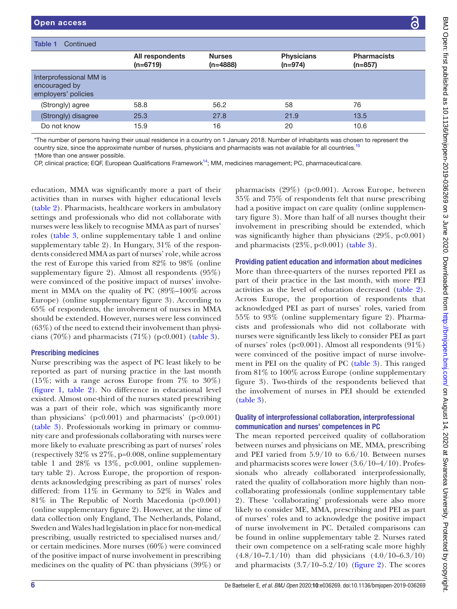| Table 1<br>Continued                                            |                               |                             |                                |                                 |
|-----------------------------------------------------------------|-------------------------------|-----------------------------|--------------------------------|---------------------------------|
|                                                                 | All respondents<br>$(n=6719)$ | <b>Nurses</b><br>$(n=4888)$ | <b>Physicians</b><br>$(n=974)$ | <b>Pharmacists</b><br>$(n=857)$ |
| Interprofessional MM is<br>encouraged by<br>employers' policies |                               |                             |                                |                                 |
| (Strongly) agree                                                | 58.8                          | 56.2                        | 58                             | 76                              |
| (Strongly) disagree                                             | 25.3                          | 27.8                        | 21.9                           | 13.5                            |
| Do not know                                                     | 15.9                          | 16                          | 20                             | 10.6                            |
|                                                                 |                               |                             |                                |                                 |

\*The number of persons having their usual residence in a country on 1 January 2018. Number of inhabitants was chosen to represent the country size, since the approximate number of nurses, physicians and pharmacists was not available for all countries.<sup>[15](#page-11-7)</sup> †More than one answer possible.

CP, clinical practice; EQF, European Qualifications Framework<sup>14</sup>; MM, medicines management; PC, pharmaceutical care.

education, MMA was significantly more a part of their activities than in nurses with higher educational levels ([table](#page-6-0) 2). Pharmacists, healthcare workers in ambulatory settings and professionals who did not collaborate with nurses were less likely to recognise MMA as part of nurses' roles ([table](#page-7-0) 3, [online supplementary table 1](https://dx.doi.org/10.1136/bmjopen-2019-036269) and [online](https://dx.doi.org/10.1136/bmjopen-2019-036269) [supplementary table 2](https://dx.doi.org/10.1136/bmjopen-2019-036269)). In Hungary, 31% of the respondents considered MMA as part of nurses' role, while across the rest of Europe this varied from 82% to 98% [\(online](https://dx.doi.org/10.1136/bmjopen-2019-036269) [supplementary figure 2\)](https://dx.doi.org/10.1136/bmjopen-2019-036269). Almost all respondents (95%) were convinced of the positive impact of nurses' involvement in MMA on the quality of PC (89%–100% across Europe) [\(online supplementary figure 3](https://dx.doi.org/10.1136/bmjopen-2019-036269)). According to 65% of respondents, the involvement of nurses in MMA should be extended. However, nurses were less convinced (63%) of the need to extend their involvement than physi-cians (70%) and pharmacists (71%) (p<0.001) [\(table](#page-7-0) 3).

### Prescribing medicines

Nurse prescribing was the aspect of PC least likely to be reported as part of nursing practice in the last month (15%; with a range across Europe from 7% to 30%) ([figure](#page-8-0) 1, [table](#page-6-0) 2). No difference in educational level existed. Almost one-third of the nurses stated prescribing was a part of their role, which was significantly more than physicians' ( $p<0.001$ ) and pharmacists' ( $p<0.001$ ) ([table](#page-7-0) 3). Professionals working in primary or community care and professionals collaborating with nurses were more likely to evaluate prescribing as part of nurses' roles (respectively 32% vs 27%, p=0.008, [online supplementary](https://dx.doi.org/10.1136/bmjopen-2019-036269) [table 1](https://dx.doi.org/10.1136/bmjopen-2019-036269) and  $28\%$  vs  $13\%$ , p<0.001, [online supplemen](https://dx.doi.org/10.1136/bmjopen-2019-036269)[tary table 2](https://dx.doi.org/10.1136/bmjopen-2019-036269)). Across Europe, the proportion of respondents acknowledging prescribing as part of nurses' roles differed: from 11% in Germany to 52% in Wales and  $81\%$  in The Republic of North Macedonia (p<0.001) ([online supplementary figure 2](https://dx.doi.org/10.1136/bmjopen-2019-036269)). However, at the time of data collection only England, The Netherlands, Poland, Sweden and Wales had legislation in place for non-medical prescribing, usually restricted to specialised nurses and/ or certain medicines. More nurses (60%) were convinced of the positive impact of nurse involvement in prescribing medicines on the quality of PC than physicians (39%) or

pharmacists (29%) (p<0.001). Across Europe, between 35% and 75% of respondents felt that nurse prescribing had a positive impact on care quality [\(online supplemen](https://dx.doi.org/10.1136/bmjopen-2019-036269)[tary figure 3](https://dx.doi.org/10.1136/bmjopen-2019-036269)). More than half of all nurses thought their involvement in prescribing should be extended, which was significantly higher than physicians  $(29\%, p<0.001)$ and pharmacists  $(23\%, p<0.001)$  [\(table](#page-7-0) 3).

## Providing patient education and information about medicines

More than three-quarters of the nurses reported PEI as part of their practice in the last month, with more PEI activities as the level of education decreased ([table](#page-6-0) 2). Across Europe, the proportion of respondents that acknowledged PEI as part of nurses' roles, varied from 55% to 93% [\(online supplementary figure 2](https://dx.doi.org/10.1136/bmjopen-2019-036269)). Pharmacists and professionals who did not collaborate with nurses were significantly less likely to consider PEI as part of nurses' roles (p<0.001). Almost all respondents  $(91\%)$ were convinced of the positive impact of nurse involvement in PEI on the quality of PC [\(table](#page-7-0) 3). This ranged from 81% to 100% across Europe [\(online supplementary](https://dx.doi.org/10.1136/bmjopen-2019-036269)  [figure 3\)](https://dx.doi.org/10.1136/bmjopen-2019-036269). Two-thirds of the respondents believed that the involvement of nurses in PEI should be extended [\(table](#page-7-0) 3).

## Quality of interprofessional collaboration, interprofessional communication and nurses' competences in PC

The mean reported perceived quality of collaboration between nurses and physicians on ME, MMA, prescribing and PEI varied from 5.9/10 to 6.6/10. Between nurses and pharmacists scores were lower (3.6/10–4/10). Professionals who already collaborated interprofessionally, rated the quality of collaboration more highly than noncollaborating professionals ([online supplementary table](https://dx.doi.org/10.1136/bmjopen-2019-036269)  [2](https://dx.doi.org/10.1136/bmjopen-2019-036269)). These 'collaborating' professionals were also more likely to consider ME, MMA, prescribing and PEI as part of nurses' roles and to acknowledge the positive impact of nurse involvement in PC. Detailed comparisons can be found in [online supplementary table 2.](https://dx.doi.org/10.1136/bmjopen-2019-036269) Nurses rated their own competence on a self-rating scale more highly (4.8/10–7.1/10) than did physicians (4.0/10–6.3/10) and pharmacists  $(3.7/10-5.2/10)$  [\(figure](#page-8-1) 2). The scores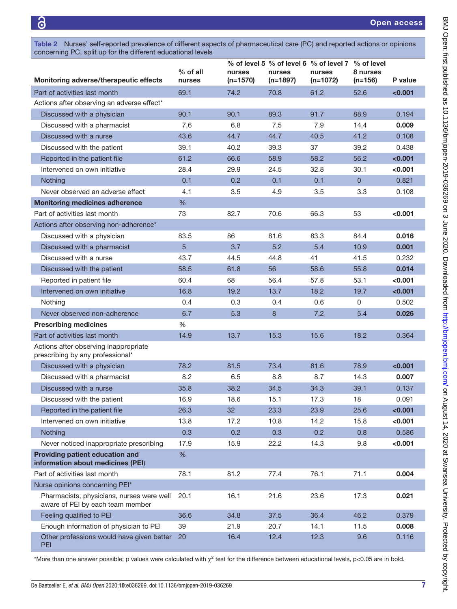<span id="page-6-0"></span>Table 2 Nurses' self-reported prevalence of different aspects of pharmaceutical care (PC) and reported actions or opinions concerning PC, split up for the different educational levels

|                                                                               |                      |                      |                      | % of level 5 % of level 6 % of level 7 % of level |                       |         |
|-------------------------------------------------------------------------------|----------------------|----------------------|----------------------|---------------------------------------------------|-----------------------|---------|
| Monitoring adverse/therapeutic effects                                        | $%$ of all<br>nurses | nurses<br>$(n=1570)$ | nurses<br>$(n=1897)$ | nurses<br>$(n=1072)$                              | 8 nurses<br>$(n=156)$ | P value |
| Part of activities last month                                                 | 69.1                 | 74.2                 | 70.8                 | 61.2                                              | 52.6                  | < 0.001 |
| Actions after observing an adverse effect*                                    |                      |                      |                      |                                                   |                       |         |
| Discussed with a physician                                                    | 90.1                 | 90.1                 | 89.3                 | 91.7                                              | 88.9                  | 0.194   |
| Discussed with a pharmacist                                                   | 7.6                  | 6.8                  | 7.5                  | 7.9                                               | 14.4                  | 0.009   |
| Discussed with a nurse                                                        | 43.6                 | 44.7                 | 44.7                 | 40.5                                              | 41.2                  | 0.108   |
| Discussed with the patient                                                    | 39.1                 | 40.2                 | 39.3                 | 37                                                | 39.2                  | 0.438   |
| Reported in the patient file                                                  | 61.2                 | 66.6                 | 58.9                 | 58.2                                              | 56.2                  | < 0.001 |
| Intervened on own initiative                                                  | 28.4                 | 29.9                 | 24.5                 | 32.8                                              | 30.1                  | <0.001  |
| Nothing                                                                       | 0.1                  | 0.2                  | 0.1                  | 0.1                                               | $\mathbf{0}$          | 0.821   |
| Never observed an adverse effect                                              | 4.1                  | 3.5                  | 4.9                  | 3.5                                               | 3.3                   | 0.108   |
| <b>Monitoring medicines adherence</b>                                         | %                    |                      |                      |                                                   |                       |         |
| Part of activities last month                                                 | 73                   | 82.7                 | 70.6                 | 66.3                                              | 53                    | < 0.001 |
| Actions after observing non-adherence*                                        |                      |                      |                      |                                                   |                       |         |
| Discussed with a physician                                                    | 83.5                 | 86                   | 81.6                 | 83.3                                              | 84.4                  | 0.016   |
| Discussed with a pharmacist                                                   | 5                    | 3.7                  | 5.2                  | 5.4                                               | 10.9                  | 0.001   |
| Discussed with a nurse                                                        | 43.7                 | 44.5                 | 44.8                 | 41                                                | 41.5                  | 0.232   |
| Discussed with the patient                                                    | 58.5                 | 61.8                 | 56                   | 58.6                                              | 55.8                  | 0.014   |
| Reported in patient file                                                      | 60.4                 | 68                   | 56.4                 | 57.8                                              | 53.1                  | <0.001  |
| Intervened on own initiative                                                  | 16.8                 | 19.2                 | 13.7                 | 18.2                                              | 19.7                  | < 0.001 |
| Nothing                                                                       | 0.4                  | 0.3                  | 0.4                  | 0.6                                               | 0                     | 0.502   |
| Never observed non-adherence                                                  | 6.7                  | 5.3                  | 8                    | 7.2                                               | 5.4                   | 0.026   |
| <b>Prescribing medicines</b>                                                  | %                    |                      |                      |                                                   |                       |         |
| Part of activities last month                                                 | 14.9                 | 13.7                 | 15.3                 | 15.6                                              | 18.2                  | 0.364   |
| Actions after observing inappropriate<br>prescribing by any professional*     |                      |                      |                      |                                                   |                       |         |
| Discussed with a physician                                                    | 78.2                 | 81.5                 | 73.4                 | 81.6                                              | 78.9                  | < 0.001 |
| Discussed with a pharmacist                                                   | 8.2                  | 6.5                  | 8.8                  | 8.7                                               | 14.3                  | 0.007   |
| Discussed with a nurse                                                        | 35.8                 | 38.2                 | 34.5                 | 34.3                                              | 39.1                  | 0.137   |
| Discussed with the patient                                                    | 16.9                 | 18.6                 | 15.1                 | 17.3                                              | 18                    | 0.091   |
| Reported in the patient file                                                  | 26.3                 | 32                   | 23.3                 | 23.9                                              | 25.6                  | <0.001  |
| Intervened on own initiative                                                  | 13.8                 | 17.2                 | 10.8                 | 14.2                                              | 15.8                  | < 0.001 |
| Nothing                                                                       | 0.3                  | 0.2                  | 0.3                  | 0.2                                               | 0.8                   | 0.586   |
| Never noticed inappropriate prescribing                                       | 17.9                 | 15.9                 | 22.2                 | 14.3                                              | 9.8                   | < 0.001 |
| Providing patient education and<br>information about medicines (PEI)          | $\%$                 |                      |                      |                                                   |                       |         |
| Part of activities last month                                                 | 78.1                 | 81.2                 | 77.4                 | 76.1                                              | 71.1                  | 0.004   |
| Nurse opinions concerning PEI*                                                |                      |                      |                      |                                                   |                       |         |
| Pharmacists, physicians, nurses were well<br>aware of PEI by each team member | 20.1                 | 16.1                 | 21.6                 | 23.6                                              | 17.3                  | 0.021   |
| Feeling qualified to PEI                                                      | 36.6                 | 34.8                 | 37.5                 | 36.4                                              | 46.2                  | 0.379   |
| Enough information of physician to PEI                                        | 39                   | 21.9                 | 20.7                 | 14.1                                              | 11.5                  | 0.008   |
| Other professions would have given better<br>PEI                              | 20                   | 16.4                 | 12.4                 | 12.3                                              | 9.6                   | 0.116   |

\*More than one answer possible; p values were calculated with  $\chi^2$  test for the difference between educational levels, p<0.05 are in bold.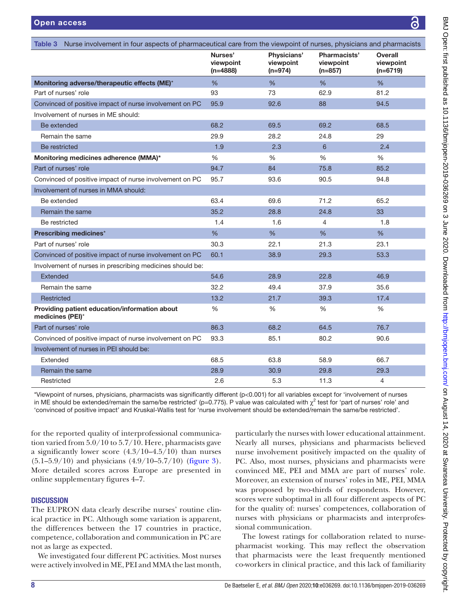<span id="page-7-0"></span>

| Table 3 Nurse involvement in four aspects of pharmaceutical care from the viewpoint of nurses, physicians and pharmacists |                                    |                                       |                                        |                                           |
|---------------------------------------------------------------------------------------------------------------------------|------------------------------------|---------------------------------------|----------------------------------------|-------------------------------------------|
|                                                                                                                           | Nurses'<br>viewpoint<br>$(n=4888)$ | Physicians'<br>viewpoint<br>$(n=974)$ | Pharmacists'<br>viewpoint<br>$(n=857)$ | <b>Overall</b><br>viewpoint<br>$(n=6719)$ |
| Monitoring adverse/therapeutic effects (ME)*                                                                              | $\frac{0}{6}$                      | %                                     | %                                      | %                                         |
| Part of nurses' role                                                                                                      | 93                                 | 73                                    | 62.9                                   | 81.2                                      |
| Convinced of positive impact of nurse involvement on PC                                                                   | 95.9                               | 92.6                                  | 88                                     | 94.5                                      |
| Involvement of nurses in ME should:                                                                                       |                                    |                                       |                                        |                                           |
| Be extended                                                                                                               | 68.2                               | 69.5                                  | 69.2                                   | 68.5                                      |
| Remain the same                                                                                                           | 29.9                               | 28.2                                  | 24.8                                   | 29                                        |
| Be restricted                                                                                                             | 1.9                                | 2.3                                   | 6                                      | 2.4                                       |
| Monitoring medicines adherence (MMA)*                                                                                     | %                                  | $\%$                                  | $\frac{0}{0}$                          | $\frac{0}{0}$                             |
| Part of nurses' role                                                                                                      | 94.7                               | 84                                    | 75.8                                   | 85.2                                      |
| Convinced of positive impact of nurse involvement on PC                                                                   | 95.7                               | 93.6                                  | 90.5                                   | 94.8                                      |
| Involvement of nurses in MMA should:                                                                                      |                                    |                                       |                                        |                                           |
| Be extended                                                                                                               | 63.4                               | 69.6                                  | 71.2                                   | 65.2                                      |
| Remain the same                                                                                                           | 35.2                               | 28.8                                  | 24.8                                   | 33                                        |
| Be restricted                                                                                                             | 1.4                                | 1.6                                   | 4                                      | 1.8                                       |
| Prescribing medicines*                                                                                                    | $\%$                               | $\%$                                  | %                                      | $\%$                                      |
| Part of nurses' role                                                                                                      | 30.3                               | 22.1                                  | 21.3                                   | 23.1                                      |
| Convinced of positive impact of nurse involvement on PC                                                                   | 60.1                               | 38.9                                  | 29.3                                   | 53.3                                      |
| Involvement of nurses in prescribing medicines should be:                                                                 |                                    |                                       |                                        |                                           |
| Extended                                                                                                                  | 54.6                               | 28.9                                  | 22.8                                   | 46.9                                      |
| Remain the same                                                                                                           | 32.2                               | 49.4                                  | 37.9                                   | 35.6                                      |
| Restricted                                                                                                                | 13.2                               | 21.7                                  | 39.3                                   | 17.4                                      |
| Providing patient education/information about<br>medicines (PEI)*                                                         | %                                  | %                                     | %                                      | %                                         |
| Part of nurses' role                                                                                                      | 86.3                               | 68.2                                  | 64.5                                   | 76.7                                      |
| Convinced of positive impact of nurse involvement on PC                                                                   | 93.3                               | 85.1                                  | 80.2                                   | 90.6                                      |
| Involvement of nurses in PEI should be:                                                                                   |                                    |                                       |                                        |                                           |
| Extended                                                                                                                  | 68.5                               | 63.8                                  | 58.9                                   | 66.7                                      |
| Remain the same                                                                                                           | 28.9                               | 30.9                                  | 29.8                                   | 29.3                                      |
| Restricted                                                                                                                | 2.6                                | 5.3                                   | 11.3                                   | 4                                         |

\*Viewpoint of nurses, physicians, pharmacists was significantly different (p<0.001) for all variables except for 'involvement of nurses in ME should be extended/remain the same/be restricted' (p=0.775). P value was calculated with  $\chi^2$  test for 'part of nurses' role' and 'convinced of positive impact' and Kruskal-Wallis test for 'nurse involvement should be extended/remain the same/be restricted'.

for the reported quality of interprofessional communication varied from 5.0/10 to 5.7/10. Here, pharmacists gave a significantly lower score  $(4.3/10-4.5/10)$  than nurses  $(5.1-5.9/10)$  and physicians  $(4.9/10-5.7/10)$  ([figure](#page-8-2) 3). More detailed scores across Europe are presented in [online supplementary figures 4–7](https://dx.doi.org/10.1136/bmjopen-2019-036269).

# **DISCUSSION**

The EUPRON data clearly describe nurses' routine clinical practice in PC. Although some variation is apparent, the differences between the 17 countries in practice, competence, collaboration and communication in PC are not as large as expected.

We investigated four different PC activities. Most nurses were actively involved in ME, PEI and MMA the last month,

particularly the nurses with lower educational attainment. Nearly all nurses, physicians and pharmacists believed nurse involvement positively impacted on the quality of PC. Also, most nurses, physicians and pharmacists were convinced ME, PEI and MMA are part of nurses' role. Moreover, an extension of nurses' roles in ME, PEI, MMA was proposed by two-thirds of respondents. However, scores were suboptimal in all four different aspects of PC for the quality of: nurses' competences, collaboration of nurses with physicians or pharmacists and interprofessional communication.

The lowest ratings for collaboration related to nursepharmacist working. This may reflect the observation that pharmacists were the least frequently mentioned co-workers in clinical practice, and this lack of familiarity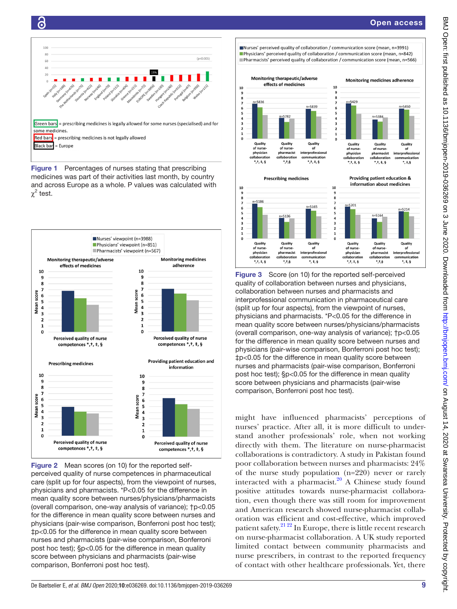of

 $^{1111}$ 

interprofessional

\*, ‡, §

unication



ခြ

<span id="page-8-0"></span>Figure 1 Percentages of nurses stating that prescribing medicines was part of their activities last month, by country and across Europe as a whole. P values was calculated with  $\chi^2$  test.



<span id="page-8-1"></span>

Nurses' perceived quality of collaboration / communication score (mean, n=3991) **Physicians' perceived quality of collaboration / communication score (mean,**  $n=842$ **)** Pharmacists' perceived quality of collaboration / communication score (mean, n=566)



interprofessional

 $*, *,$ 

inication

physician<br>collaboratio

 $*, +, *,$ 

pharmacist

 $^{*},+$ ,  $\frac{1}{2}$ 

.<br>:ollabora

physician<br>collaboratio

 $*,+,+,$ 

pharmacist

 $^{*,+,\xi}$ 

collaborati

<span id="page-8-2"></span>Figure 3 Score (on 10) for the reported self-perceived quality of collaboration between nurses and physicians, collaboration between nurses and pharmacists and interprofessional communication in pharmaceutical care (split up for four aspects), from the viewpoint of nurses, physicians and pharmacists. \*P<0.05 for the difference in mean quality score between nurses/physicians/pharmacists (overall comparison, one-way analysis of variance); †p<0.05 for the difference in mean quality score between nurses and physicians (pair-wise comparison, Bonferroni post hoc test); ‡p<0.05 for the difference in mean quality score between nurses and pharmacists (pair-wise comparison, Bonferroni post hoc test); §p<0.05 for the difference in mean quality score between physicians and pharmacists (pair-wise comparison, Bonferroni post hoc test).

might have influenced pharmacists' perceptions of nurses' practice. After all, it is more difficult to understand another professionals' role, when not working directly with them. The literature on nurse-pharmacist collaborations is contradictory. A study in Pakistan found poor collaboration between nurses and pharmacists: 24% of the nurse study population (n=220) never or rarely interacted with a pharmacist. $^{20}$  A Chinese study found positive attitudes towards nurse-pharmacist collaboration, even though there was still room for improvement and American research showed nurse-pharmacist collaboration was efficient and cost‐effective, which improved patient safety.<sup>21 22</sup> In Europe, there is little recent research on nurse-pharmacist collaboration. A UK study reported limited contact between community pharmacists and nurse prescribers, in contrast to the reported frequency of contact with other healthcare professionals. Yet, there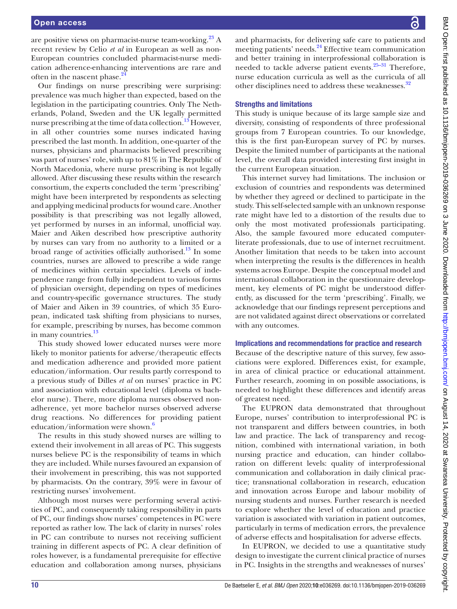are positive views on pharmacist-nurse team-working. $^{23}$  A recent review by Celio *et al* in European as well as non-European countries concluded pharmacist-nurse medication adherence-enhancing interventions are rare and often in the nascent phase.<sup>2</sup>

Our findings on nurse prescribing were surprising: prevalence was much higher than expected, based on the legislation in the participating countries. Only The Netherlands, Poland, Sweden and the UK legally permitted nurse prescribing at the time of data collection.<sup>13</sup> However, in all other countries some nurses indicated having prescribed the last month. In addition, one-quarter of the nurses, physicians and pharmacists believed prescribing was part of nurses' role, with up to 81% in The Republic of North Macedonia, where nurse prescribing is not legally allowed. After discussing these results within the research consortium, the experts concluded the term 'prescribing' might have been interpreted by respondents as selecting and applying medicinal products for wound care. Another possibility is that prescribing was not legally allowed, yet performed by nurses in an informal, unofficial way. Maier and Aiken described how prescriptive authority by nurses can vary from no authority to a limited or a broad range of activities officially authorised.<sup>13</sup> In some countries, nurses are allowed to prescribe a wide range of medicines within certain specialties. Levels of independence range from fully independent to various forms of physician oversight, depending on types of medicines and country-specific governance structures. The study of Maier and Aiken in 39 countries, of which 35 European, indicated task shifting from physicians to nurses, for example, prescribing by nurses, has become common in many countries.<sup>13</sup>

This study showed lower educated nurses were more likely to monitor patients for adverse/therapeutic effects and medication adherence and provided more patient education/information. Our results partly correspond to a previous study of Dilles *et al* on nurses' practice in PC and association with educational level (diploma vs bachelor nurse). There, more diploma nurses observed nonadherence, yet more bachelor nurses observed adverse drug reactions. No differences for providing patient education/information were shown.<sup>6</sup>

The results in this study showed nurses are willing to extend their involvement in all areas of PC. This suggests nurses believe PC is the responsibility of teams in which they are included. While nurses favoured an expansion of their involvement in prescribing, this was not supported by pharmacists. On the contrary, 39% were in favour of restricting nurses' involvement.

Although most nurses were performing several activities of PC, and consequently taking responsibility in parts of PC, our findings show nurses' competences in PC were reported as rather low. The lack of clarity in nurses' roles in PC can contribute to nurses not receiving sufficient training in different aspects of PC. A clear definition of roles however, is a fundamental prerequisite for effective education and collaboration among nurses, physicians

and pharmacists, for delivering safe care to patients and meeting patients' needs.<sup>24</sup> Effective team communication and better training in interprofessional collaboration is needed to tackle adverse patient events. $25-31$  Therefore, nurse education curricula as well as the curricula of all other disciplines need to address these weaknesses.<sup>[32](#page-11-13)</sup>

#### Strengths and limitations

This study is unique because of its large sample size and diversity, consisting of respondents of three professional groups from 7 European countries. To our knowledge, this is the first pan-European survey of PC by nurses. Despite the limited number of participants at the national level, the overall data provided interesting first insight in the current European situation.

This internet survey had limitations. The inclusion or exclusion of countries and respondents was determined by whether they agreed or declined to participate in the study. This self-selected sample with an unknown response rate might have led to a distortion of the results due to only the most motivated professionals participating. Also, the sample favoured more educated computerliterate professionals, due to use of internet recruitment. Another limitation that needs to be taken into account when interpreting the results is the differences in health systems across Europe. Despite the conceptual model and international collaboration in the questionnaire development, key elements of PC might be understood differently, as discussed for the term 'prescribing'. Finally, we acknowledge that our findings represent perceptions and are not validated against direct observations or correlated with any outcomes.

#### Implications and recommendations for practice and research

Because of the descriptive nature of this survey, few associations were explored. Differences exist, for example, in area of clinical practice or educational attainment. Further research, zooming in on possible associations, is needed to highlight these differences and identify areas of greatest need.

The EUPRON data demonstrated that throughout Europe, nurses' contribution to interprofessional PC is not transparent and differs between countries, in both law and practice. The lack of transparency and recognition, combined with international variation, in both nursing practice and education, can hinder collaboration on different levels: quality of interprofessional communication and collaboration in daily clinical practice; transnational collaboration in research, education and innovation across Europe and labour mobility of nursing students and nurses. Further research is needed to explore whether the level of education and practice variation is associated with variation in patient outcomes, particularly in terms of medication errors, the prevalence of adverse effects and hospitalisation for adverse effects.

In EUPRON, we decided to use a quantitative study design to investigate the current clinical practice of nurses in PC. Insights in the strengths and weaknesses of nurses'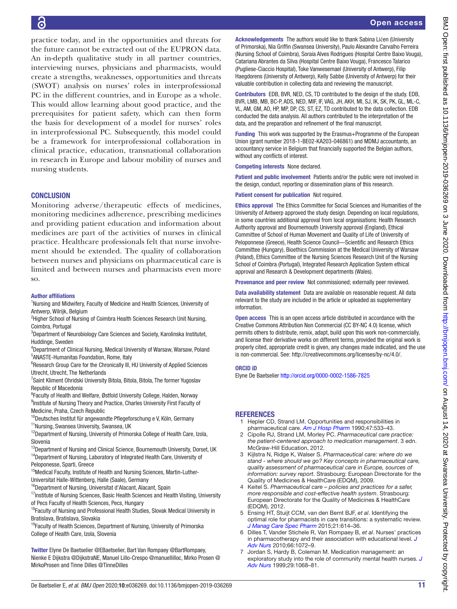practice today, and in the opportunities and threats for the future cannot be extracted out of the EUPRON data. An in-depth qualitative study in all partner countries, interviewing nurses, physicians and pharmacists, would create a strengths, weaknesses, opportunities and threats (SWOT) analysis on nurses' roles in interprofessional PC in the different countries, and in Europe as a whole. This would allow learning about good practice, and the prerequisites for patient safety, which can then form the basis for development of a model for nurses' roles in interprofessional PC. Subsequently, this model could be a framework for interprofessional collaboration in clinical practice, education, transnational collaboration in research in Europe and labour mobility of nurses and nursing students.

### **CONCLUSION**

Monitoring adverse/therapeutic effects of medicines, monitoring medicines adherence, prescribing medicines and providing patient education and information about medicines are part of the activities of nurses in clinical practice. Healthcare professionals felt that nurse involvement should be extended. The quality of collaboration between nurses and physicians on pharmaceutical care is limited and between nurses and pharmacists even more so.

#### Author affiliations

<sup>1</sup>Nursing and Midwifery, Faculty of Medicine and Health Sciences, University of Antwerp, Wilrijk, Belgium

<sup>2</sup>Higher School of Nursing of Coimbra Health Sciences Research Unit Nursing, Coimbra, Portugal

<sup>3</sup>Department of Neurobiology Care Sciences and Society, Karolinska Institutet, Huddinge, Sweden

4 Department of Clinical Nursing, Medical University of Warsaw, Warsaw, Poland 5 ANASTE-Humanitas Foundation, Rome, Italy

<sup>6</sup>Research Group Care for the Chronically III, HU University of Applied Sciences Utrecht, Utrecht, The Netherlands

<sup>7</sup>Saint Kliment Ohridski University Bitola, Bitola, Bitola, The former Yugoslav Republic of Macedonia

8 Faculty of Health and Welfare, Østfold University College, Halden, Norway <sup>9</sup>Institute of Nursing Theory and Practice, Charles University First Faculty of Medicine, Praha, Czech Republic

<sup>10</sup>Deutsches Institut für angewandte Pflegeforschung e V, Köln, Germany

<sup>11</sup>Nursing, Swansea University, Swansea, UK

<sup>12</sup>Department of Nursing, University of Primorska College of Health Care, Izola, Slovenia

- <sup>13</sup>Department of Nursing and Clinical Science, Bournemouth University, Dorset, UK <sup>14</sup>Department of Nursing, Laboratory of Integrated Health Care, University of
- Peloponesse, Sparti, Greece
- <sup>15</sup>Medical Faculty, Institute of Health and Nursing Sciences, Martin-Luther-Universitat Halle-Wittenberg, Halle (Saale), Germany
- <sup>16</sup>Department of Nursing, Universitat d'Alacant, Alacant, Spain

<sup>17</sup> Institute of Nursing Sciences, Basic Health Sciences and Health Visiting, University of Pecs Faculty of Health Sciences, Pecs, Hungary

<sup>18</sup>Faculty of Nursing and Professional Health Studies, Slovak Medical University in Bratislava, Bratislava, Slovakia

<sup>19</sup>Faculty of Health Sciences, Department of Nursing, University of Primorska College of Health Care, Izola, Slovenia

Twitter Elyne De Baetselier [@EBaetselier](https://twitter.com/EBaetselier), Bart Van Rompaey [@BartRompaey](https://twitter.com/BartRompaey), Nienke E Dijkstra [@DijkstraNE,](https://twitter.com/DijkstraNE) Manuel Lillo-Crespo [@manuellilloc](https://twitter.com/manuellilloc), Mirko Prosen [@](https://twitter.com/MirkoProsen) [MirkoProsen](https://twitter.com/MirkoProsen) and Tinne Dilles [@TinneDilles](https://twitter.com/TinneDilles)

Acknowledgements The authors would like to thank Sabina Ličen (University of Primorska), Nia Griffin (Swansea University), Paulo Alexandre Carvalho Ferreira (Nursing School of Coimbra), Soraia Alves Rodrigues (Hospital Centre Baixo Vouga), Catariana Abrantes da Silva (Hospital Centre Baixo Vouga), Francesco Talarico (Pugliese-Ciaccio Hospital), Toke Vanwesemael (University of Antwerp), Filip Haegdorens (University of Antwerp), Kelly Sabbe (University of Antwerp) for their valuable contribution in collecting data and reviewing the manuscript.

Contributors EDB, BVR, NED, CS, TD contributed to the design of the study. EDB, BVR, LMB, MB, BC-P, ADS, NED, MIF, IF, VAG, JH, AKH, MI, SJ, IK, SK, PK, GL, ML-C, VL, AM, GM, AO, HP, MP, DP, CS, ST, EZ, TD contributed to the data collection. EDB conducted the data analysis. All authors contributed to the interpretation of the data, and the preparation and refinement of the final manuscript.

Funding This work was supported by the Erasmus+Programme of the European Union (grant number 2018-1-BE02-KA203-046861) and MDMJ accountants, an accountancy service in Belgium that financially supported the Belgian authors, without any conflicts of interest.

Competing interests None declared.

Patient and public involvement Patients and/or the public were not involved in the design, conduct, reporting or dissemination plans of this research.

Patient consent for publication Not required.

Ethics approval The Ethics Committee for Social Sciences and Humanities of the University of Antwerp approved the study design. Depending on local regulations, in some countries additional approval from local organisations: Health Research Authority approval and Bournemouth University approval (England), Ethical Committee of School of Human Movement and Quality of Life of University of Peloponnese (Greece), Health Science Council—Scientific and Research Ethics Committee (Hungary), Bioethics Commission at the Medical University of Warsaw (Poland), Ethics Committee of the Nursing Sciences Research Unit of the Nursing School of Coimbra (Portugal), Integrated Research Application System ethical approval and Research & Development departments (Wales).

Provenance and peer review Not commissioned; externally peer reviewed.

Data availability statement Data are available on reasonable request. All data relevant to the study are included in the article or uploaded as supplementary information.

Open access This is an open access article distributed in accordance with the Creative Commons Attribution Non Commercial (CC BY-NC 4.0) license, which permits others to distribute, remix, adapt, build upon this work non-commercially, and license their derivative works on different terms, provided the original work is properly cited, appropriate credit is given, any changes made indicated, and the use is non-commercial. See: [http://creativecommons.org/licenses/by-nc/4.0/.](http://creativecommons.org/licenses/by-nc/4.0/)

#### ORCID iD

Elyne De Baetselier <http://orcid.org/0000-0002-1586-7825>

### <span id="page-10-0"></span>**REFERENCES**

- 1 Hepler CD, Strand LM. Opportunities and responsibilities in pharmaceutical care. *[Am J Hosp Pharm](http://dx.doi.org/10.1093/ajhp/47.3.533)* 1990;47:533–43.
- <span id="page-10-1"></span>2 Cipolle RJ, Strand LM, Morley PC. *Pharmaceutical care practice: the patient-centered approach to medication management*. 3 edn. McGraw-Hill Education, 2012.
- <span id="page-10-2"></span>3 Kijlstra N, Ridge K, Walser S. *Pharmaceutical care: where do we stand - where should we go? Key concepts in pharmaceutical care, quality assessment of pharmaceutical care in Europe, sources of information: survey report*. Strasbourg: European Directorate for the Quality of Medicines & HealthCare (EDQM), 2009.
- 4 Keitel S. *Pharmaceutical care policies and practices for a safer, more responsible and cost-effective health system*. Strasbourg: European Directorate for the Quality of Medicines & HealthCare (EDQM), 2012.
- <span id="page-10-3"></span>5 Ensing HT, Stuijt CCM, van den Bemt BJF, *et al*. Identifying the optimal role for pharmacists in care transitions: a systematic review. *[J Manag Care Spec Pharm](http://dx.doi.org/10.18553/jmcp.2015.21.8.614)* 2015;21:614–36.
- <span id="page-10-4"></span>6 Dilles T, Vander Stichele R, Van Rompaey B, *et al*. Nurses' practices in pharmacotherapy and their association with educational level. *[J](http://dx.doi.org/10.1111/j.1365-2648.2010.05268.x)  [Adv Nurs](http://dx.doi.org/10.1111/j.1365-2648.2010.05268.x)* 2010;66:1072–9.
- <span id="page-10-5"></span>7 Jordan S, Hardy B, Coleman M. Medication management: an exploratory study into the role of community mental health nurses. *[J](http://dx.doi.org/10.1046/j.1365-2648.1999.01002.x)  [Adv Nurs](http://dx.doi.org/10.1046/j.1365-2648.1999.01002.x)* 1999;29:1068–81.